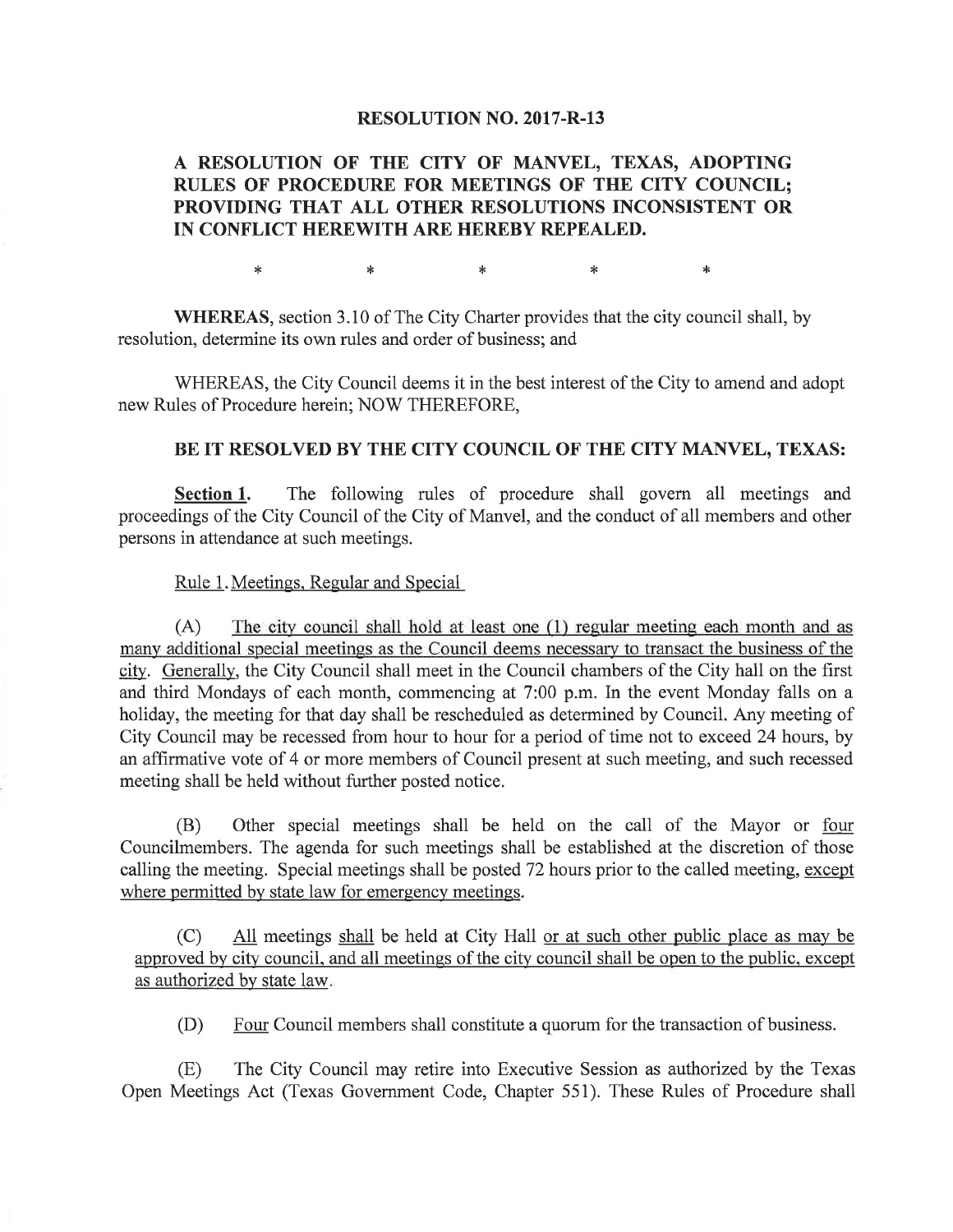#### RESOLUTION NO. 2017-R.13

# A RESOLUTION OF THE CITY OF MANVEL, TEXAS, ADOPTING RULES OF PROCEDURE FOR MEETINGS OF THE CITY COUNCIL; PROVIDING THAT ALL OTHER RESOLUTIONS INCONSISTENT OR IN CONFLICT HEREWITH ARE HEREBY REPEALED.

\* \* \* \* \* \* \* \*

WHEREAS, section 3.10 of The City Charter provides that the city council shall, by resolution, determine its own rules and order of business; and

WHEREAS, the City Council deems it in the best interest of the City to amend and adopt new Rules of Procedure herein; NOW THEREFORE,

## BE IT RESOLVED BY THE CITY COUNCIL OF THE CITY MANVEL, TEXAS:

Section 1. The following rules of procedure shall govern all meetings and proceedings of the City Council of the City of Manvel, and the conduct of all members and other persons in attendance at such meetings.

## Rule l.Meetings. Regular and Special

 $(A)$ The city council shall hold at least one (1) regular meeting each month and as many additional special meetings as the Council deems necessary to transact the business of the city. Generally, the City Council shall meet in the Council chambers of the City hall on the first and third Mondays of each month, commencing at 7:00 p.m. In the event Monday falls on a holiday, the meeting for that day shall be rescheduled as determined by Council. Any meeting of City Council may be recessed from hour to hour for a period of time not to exceed 24 hours, by an affirmative vote of 4 or more members of Council present at such meeting, and such recessed meeting shall be held without further posted notice.

(B) Other special meetings shall be held on the call of the Mayor or four Councilmembers. The agenda for such meetings shall be established at the discretion of those calling the meeting. Special meetings shall be posted 72 hours prior to the called meeting, except where permitted by state law for emergency meetings.

(C) All meetings shall be held at City Hall or at such other public place as may be approved by city council, and all meetings of the city council shall be open to the public, except as authorized by state law

(D) Four Council members shall constitute a quorum for the transaction of business.

(E) The City Council may retire into Executive Session as authorized by the Texas Open Meetings Act (Texas Government Code, Chapter 551). These Rules of Procedure shall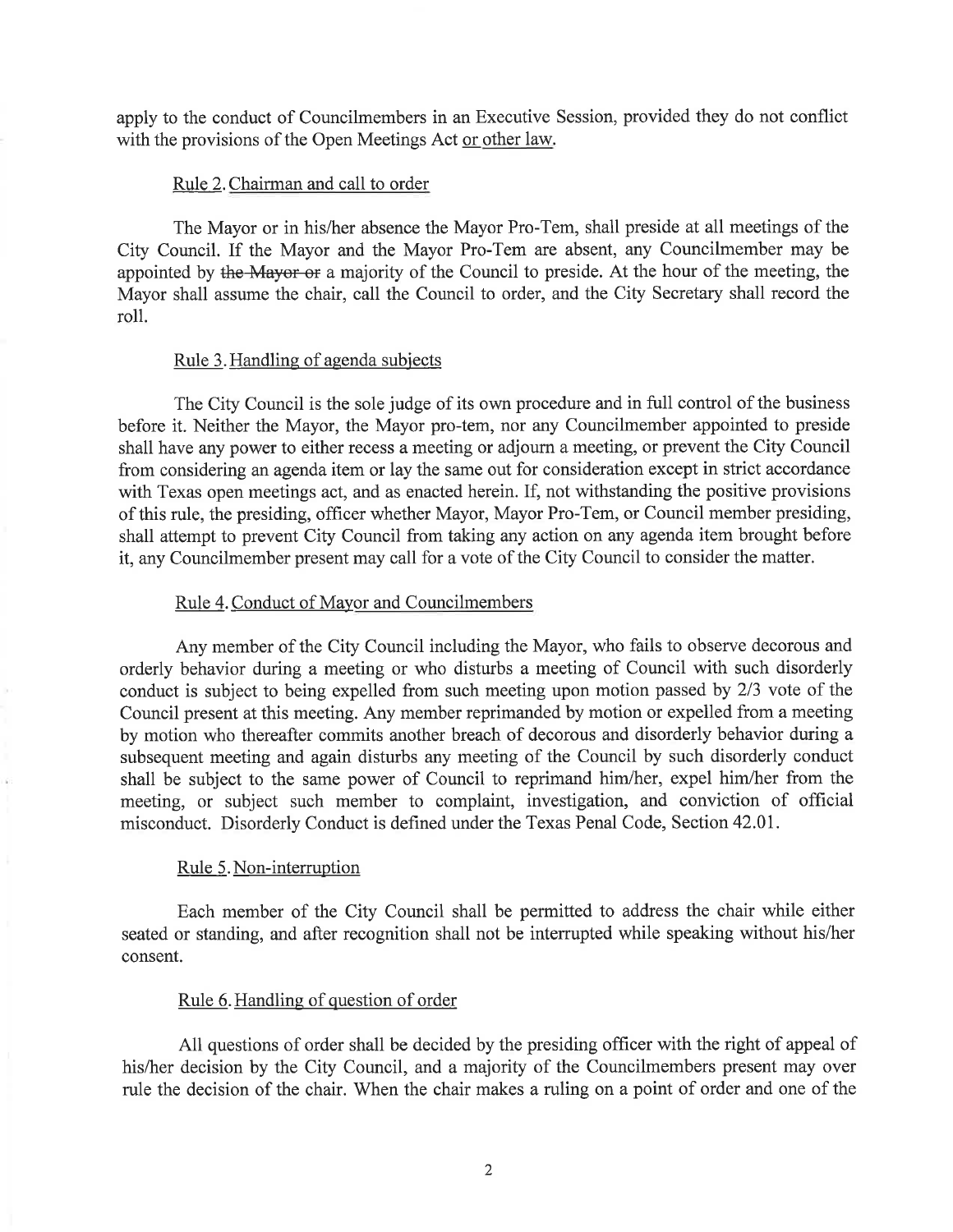apply to the conduct of Councilmembers in an Executive Session, provided they do not conflict with the provisions of the Open Meetings Act or other law.

#### Rule 2. Chairman and call to order

The Mayor or in his/her absence the Mayor Pro-Tem, shall preside at all meetings of the City Council. If the Mayor and the Mayor Pro-Tem are absent, any Councilmember may be appointed by the Mayor or a majority of the Council to preside. At the hour of the meeting, the Mayor shall assume the chair, call the Council to order, and the City Secretary shall record the roll.

### Rule 3.Handling of agenda subjects

The City Council is the sole judge of its own procedure and in full control of the business before it. Neither the Mayor, the Mayor pro-tem, nor any Councilmember appointed to preside shall have any power to either recess a meeting or adjoum a meeting, or prevent the City Council from considering an agenda item or lay the same out for consideration except in strict accordance with Texas open meetings act, and as enacted herein. If, not withstanding the positive provisions of this rule, the presiding, officer whether Mayor, Mayor Pro-Tem, or Council member presiding, shall attempt to prevent City Council from taking any action on any agenda item brought before it, any Councilmember present may call for a vote of the City Council to consider the matter.

#### Rule 4. Conduct of Mayor and Councilmembers

Any member of the City Council including the Mayor, who fails to observe decorous and orderly behavior during a meeting or who disturbs a meeting of Council with such disorderly conduct is subject to being expelled from such meeting upon motion passed by 2/3 vote of the Council present at this meeting. Any member reprimanded by motion or expelled from a meeting by motion who thereafter commits another breach of decorous and disorderly behavior during a subsequent meeting and again disturbs any meeting of the Council by such disorderly conduct shall be subject to the same power of Council to reprimand him/her, expel him/her from the meeting, or subject such member to complaint, investigation, and conviction of official misconduct. Disorderly Conduct is dehned under the Texas Penal Code, Section 42.01.

#### Rule 5. Non-interruption

Each member of the City Council shall be permitted to address the chair while either seated or standing, and after recognition shall not be interrupted while speaking without his/her consent.

## Rule 6.Handling of question of order

All questions of order shall be decided by the presiding officer with the right of appeal of his/her decision by the City Council, and a majority of the Councilmembers present may over rule the decision of the chair. When the chair makes a ruling on a point of order and one of the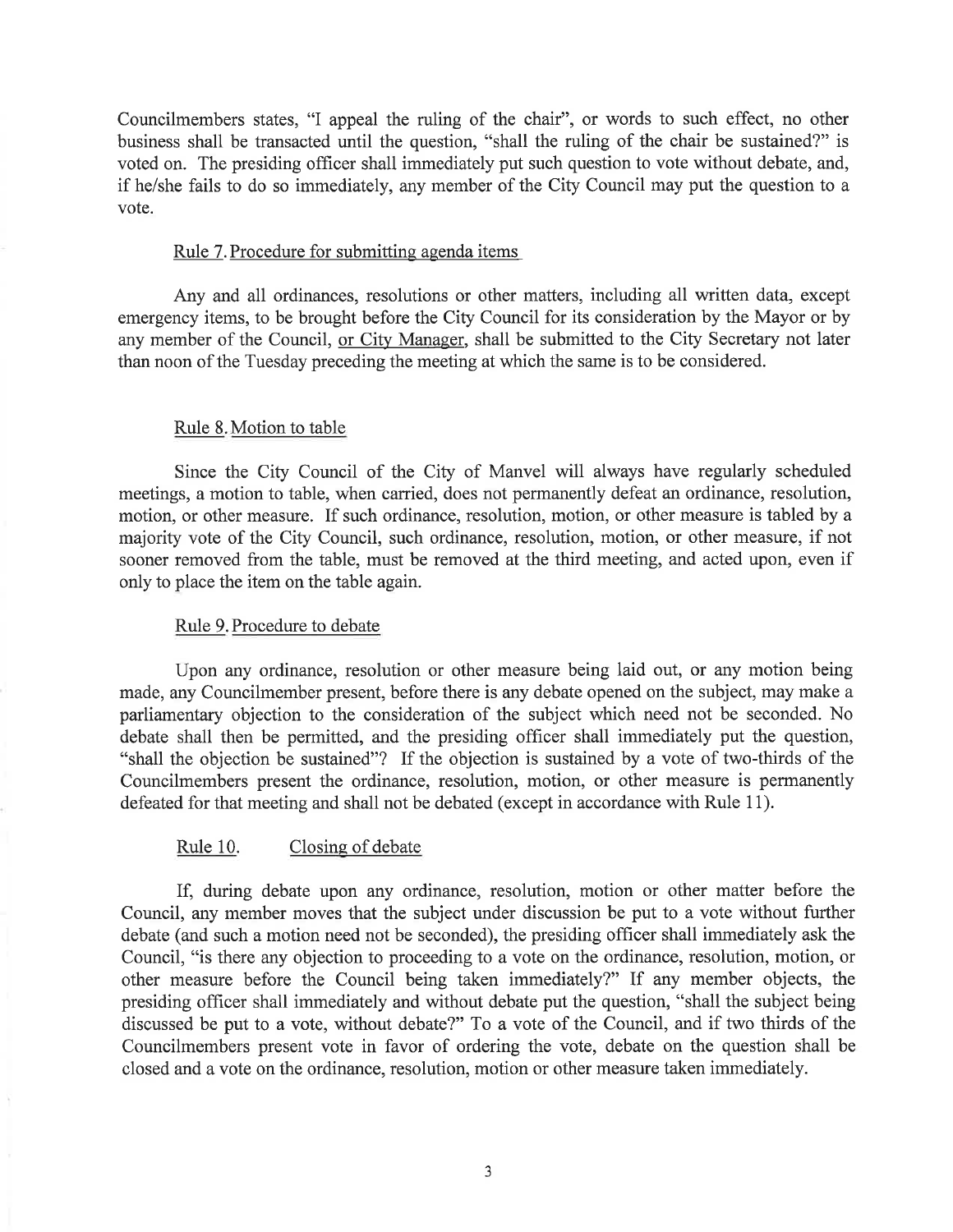Councilmembers states, "I appeal the ruling of the chair", or words to such effect, no other business shall be transacted until the question, "shall the ruling of the chair be sustained?" is voted on. The presiding officer shall immediately put such question to vote without debate, and, if he/she fails to do so immediately, any member of the City Council may put the question to a vote.

#### Rule 7. Procedure for submitting agenda items

Any and all ordinances, resolutions or other matters, including all written data, except emergency items, to be brought before the City Council for its consideration by the Mayor or by any member of the Council, or Citv Manager, shall be submitted to the City Secretary not later than noon of the Tuesday preceding the meeting at which the same is to be considered.

## Rule 8. Motion to table

Since the City Council of the City of Manvel will always have regularly scheduled meetings, a motion to table, when carried, does not permanently defeat an ordinance, resolution, motion, or other measure. If such ordinance, resolution, motion, or other measure is tabled by a majority vote of the City Council, such ordinance, resolution, motion, or other measure, if not sooner removed from the table, must be removed at the third meeting, and acted upon, even if only to place the item on the table again.

### Rule 9. Procedure to debate

Upon any ordinance, resolution or other measure being laid out, or any motion being made, any Councilmember present, before there is any debate opened on the subject, may make a parliamentary objection to the consideration of the subject which need not be seconded. No debate shall then be permitted, and the presiding officer shall immediately put the question, "shall the objection be sustained"? If the objection is sustained by a vote of two-thirds of the Councilmembers present the ordinance, resolution, motion, or other measure is permanently defeated for that meeting and shall not be debated (except in accordance with Rule 11).

## Rule 10. Closing of debate

If, during debate upon any ordinance, resolution, motion or other matter before the Council, any member moves that the subject under discussion be put to a vote without further debate (and such a motion need not be seconded), the presiding officer shall immediately ask the Council, "is there any objection to proceeding to a vote on the ordinance, resolution, motion, or other measure before the Council being taken immediately?" If any member objects, the presiding officer shall immediately and without debate put the question, "shall the subject being discussed be put to a vote, without debate?" To a vote of the Council, and if two thirds of the Councilmembers present vote in favor of ordering the vote, debate on the question shall be closed and a vote on the ordinance, resolution, motion or other measure taken immediately.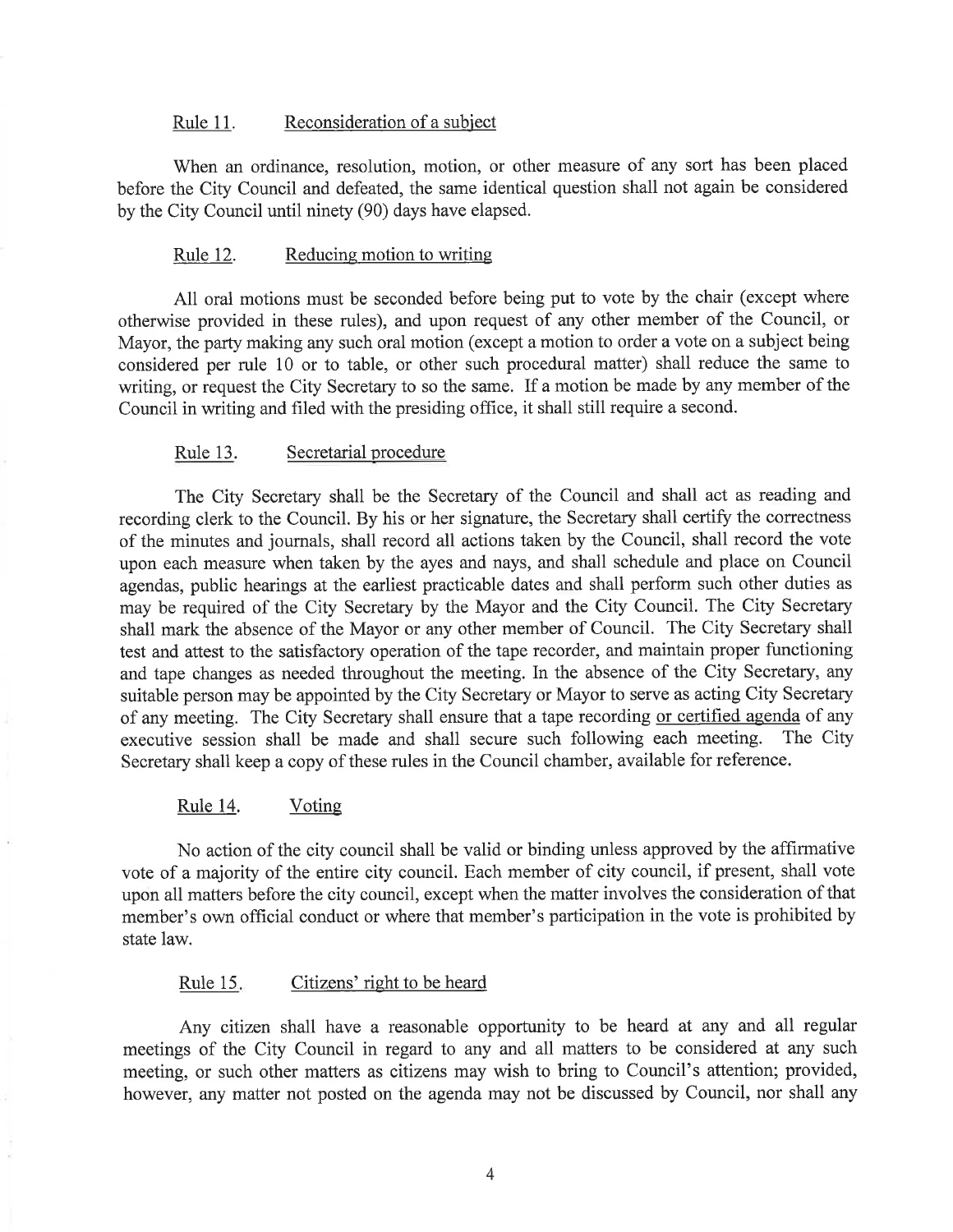### Rule 11. Reconsideration of a subject

'When an ordinance, resolution, motion, or other measure of any sort has been placed before the City Council and defeated, the same identical question shall not again be considered by the City Council until ninety (90) days have elapsed.

#### Rule 12. Reducing motion to writing

All oral motions must be seconded before being put to vote by the chair (except where otherwise provided in these rules), and upon request of any other member of the Council, or Mayor, the party making any such oral motion (except a motion to order a vote on a subject being considered per rule 10 or to table, or other such procedural matter) shall reduce the same to writing, or request the City Secretary to so the same. If a motion be made by any member of the Council in writing and filed with the presiding office, it shall still require a second.

#### Rule 13. Secretarial procedure

The City Secretary shall be the Secretary of the Council and shall act as reading and recording clerk to the Council. By his or her signature, the Secretary shall certify the correctness of the minutes and joumals, shall record all actions taken by the Council, shall record the vote upon each measure when taken by the ayes and nays, and shall schedule and place on Council agendas, public hearings at the earliest practicable dates and shall perform such other duties as may be required of the City Secretary by the Mayor and the City Councii. The City Secretary shall mark the absence of the Mayor or any other member of Council. The City Secretary shall test and attest to the satisfactory operation of the tape recorder, and maintain proper functioning and tape changes as needed throughout the meeting. In the absence of the City Secretary, any suitable person may be appointed by the City Secretary or Mayor to serve as acting City Secretary of any meeting. The City Secretary shall ensure that a tape recording or certified agenda of any executive session shall be made and shall secure such following each meeting. The City Secretary shall keep a copy of these rules in the Council chamber, available for reference.

### Rule 14. Voting

No action of the city council shall be valid or binding unless approved by the affirmative vote of a majority of the entire city council. Each member of city council, if present, shall vote upon all matters before the city council, except when the matter involves the consideration of that member's own official conduct or where that member's participation in the vote is prohibited by state law.

#### Rule 15. Citizens' right to be heard

Any citizen shall have a reasonable opportunity to be heard at any and all regular meetings of the City Council in regard to any and all matters to be considered at any such meeting, or such other matters as citizens may wish to bring to Council's attention; provided, however, any matter not posted on the agenda may not be discussed by Council, nor shall any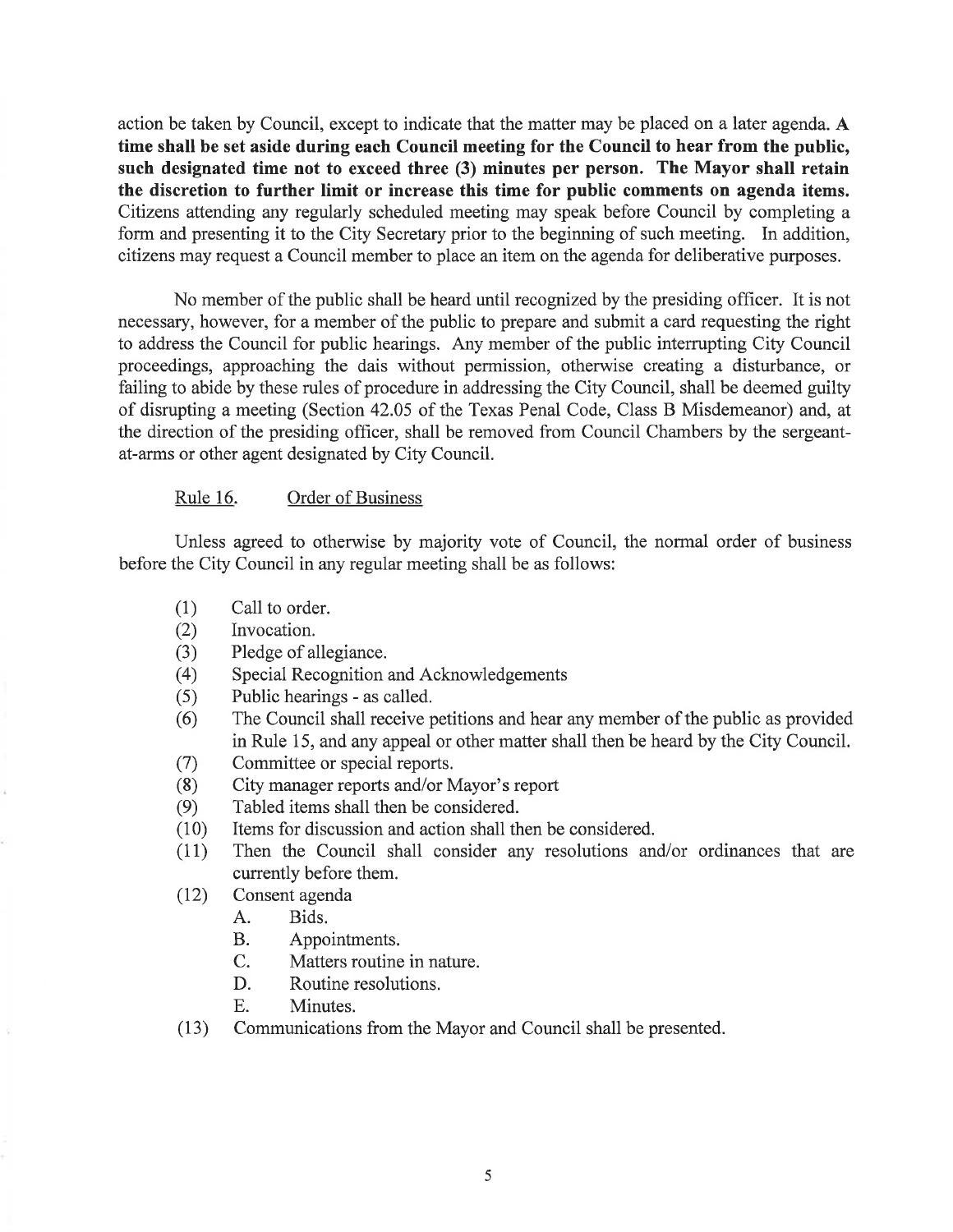action be taken by Council, except to indicate that the matter may be placed on a later agenda. A time shall be set aside during each Council meeting for the Council to hear from the public, such designated time not to exceed three (3) minutes per person. The Mayor shall retain the discretion to further limit or increase this time for public comments on agenda items. Citizens attending any regularly scheduled meeting may speak before Council by completing a form and presenting it to the City Secretary prior to the beginning of such meeting. In addition, citizens may request a Council member to place an item on the agenda for deliberative purposes.

No member of the public shall be heard until recognized by the presiding officer. It is not necessary, however, for a member of the public to prepare and submit a card requesting the right to address the Council for public hearings. Any member of the public intemrpting City Council proceedings, approaching the dais without permission, otherwise creating a disturbance, or failing to abide by these rules of procedure in addressing the City Council, shall be deemed guilty of disrupting a meeting (Section 42.05 of the Texas Penal Code, Class B Misdemeanor) and, at the direction of the presiding officer, shall be removed from Council Chambers by the sergeantat-arms or other agent designated by City Council.

## Rule 16. Order of Business

Unless agreed to otherwise by majority vote of Council, the normal order of business before the City Council in any regular meeting shall be as follows:

- (1) Call to order.
- (2) Invocation.
- (3) Pledge of allegiance.
- (4) Special Recognition and Acknowledgements
- $(5)$ Public hearings - as called.
- (6) The Council shall receive petitions and hear any member of the public as provided in Rule 15, and any appeal or other matter shall then be heard by the City Council.
- (7) Committee or special reports.
- (8) City manager reports and/or Mayor's report
- (e) Tabled items shall then be considered.
- (10) Items for discussion and action shall then be considered.
- $(11)$ Then the Council shall consider any resolutions and/or ordinances that are currently before them.
- $(12)$ Consent agenda
	- A. Bids.
		- B. Appointments.
	- C. Matters routine in nature.
	- D. Routine resolutions.
	- E. Minutes.
- Communications from the Mayor and Council shall be presented.  $(13)$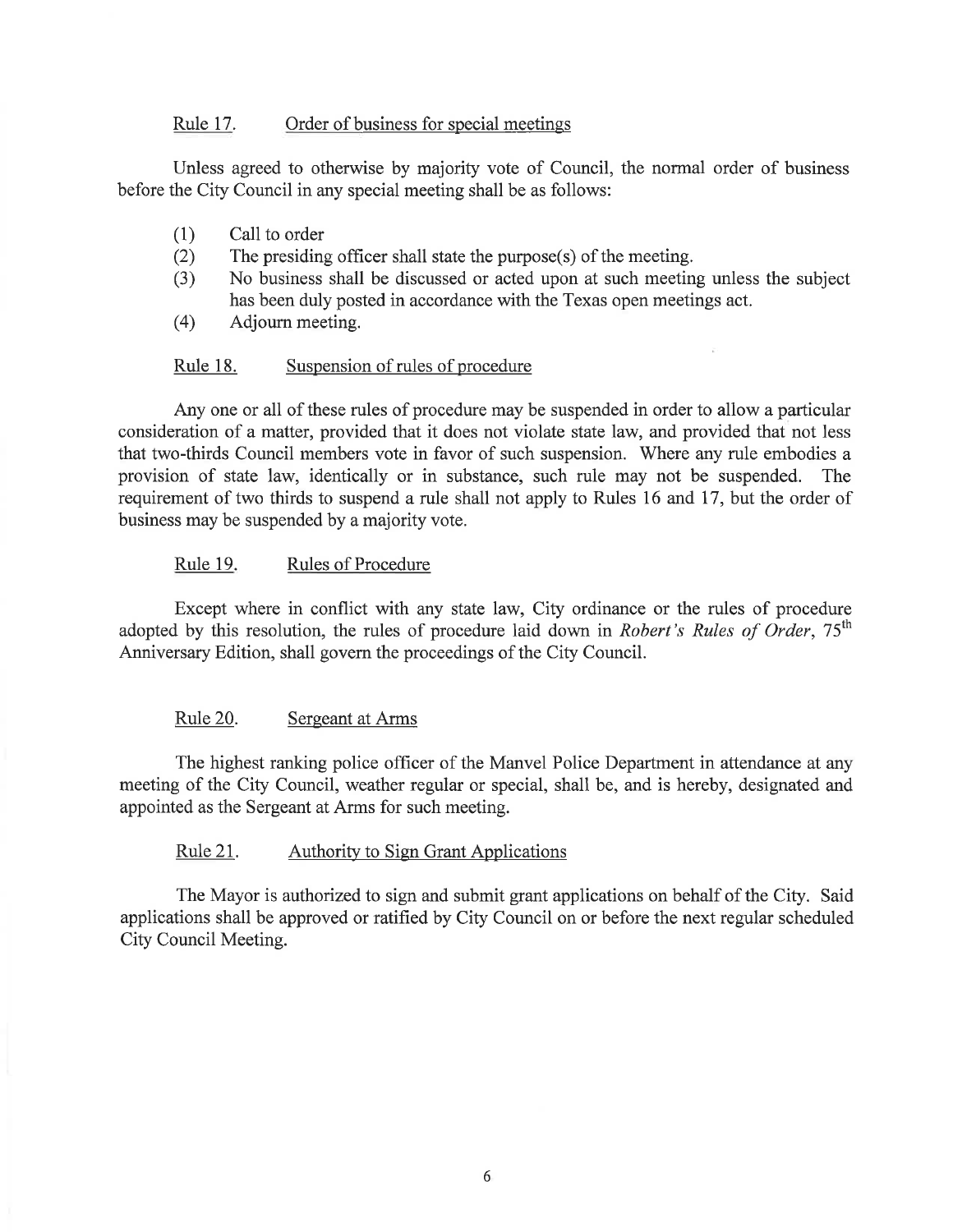## Rule 17. Order of business for special meetings

Unless agreed to otherwise by majority vote of Council, the normal order of business before the City Council in any special meeting shall be as follows:

- Call to order (1)
- The presiding officer shall state the purpose(s) of the meeting. (2)
- No business shall be discussed or acted upon at such meeting unless the subject has been duly posted in accordance with the Texas open meetings act. (3)
- Adjourn meeting. (4)

#### Rule 18. Suspension of rules of procedure

Any one or all of these rules of procedure may be suspended in order to allow a particular consideration of a matter, provided that it does not violate state law, and provided that not less that two-thirds Council members vote in favor of such suspension. Where any rule embodies a provision of state law, identically or in substance, such rule may not be suspended. The requirement of two thirds to suspend a rule shall not apply to Rules 16 and 17, but the order of business may be suspended by a majority vote.

## Rule 19. Rules of Procedure

Except where in conflict with any state law, City ordinance or the rules of procedure adopted by this resolution, the rules of procedure laid down in Robert's Rules of Order,  $75<sup>th</sup>$ Anniversary Edition, shall govern the proceedings of the City Council.

### Rule 20. Sergeant at Arms

The highest ranking police officer of the Manvel Police Department in attendance at any meeting of the City Council, weather regular or special, shall be, and is hereby, designated and appointed as the Sergeant at Arms for such meeting.

### Rule 21. Authority to Sign Grant Applications

The Mayor is authorized to sign and submit grant applications on behalf of the City. Said applications shall be approved or ratified by City Council on or before the next regular scheduled City Council Meeting.